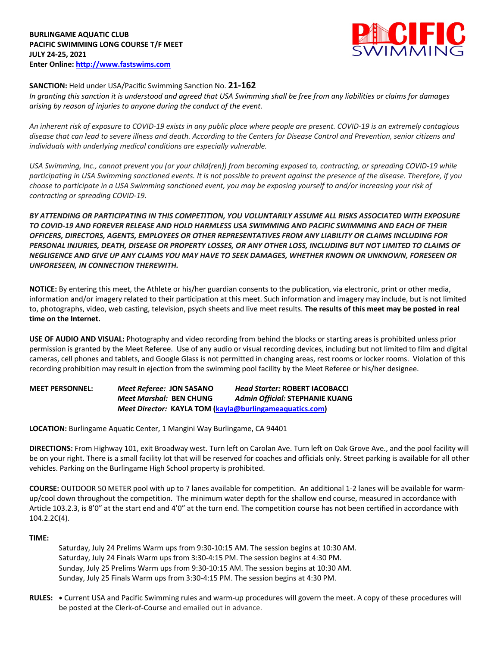

# **SANCTION:** Held under USA/Pacific Swimming Sanction No. **21-162**

*In granting this sanction it is understood and agreed that USA Swimming shall be free from any liabilities or claims for damages arising by reason of injuries to anyone during the conduct of the event.* 

*An inherent risk of exposure to COVID-19 exists in any public place where people are present. COVID-19 is an extremely contagious disease that can lead to severe illness and death. According to the Centers for Disease Control and Prevention, senior citizens and individuals with underlying medical conditions are especially vulnerable.*

*USA Swimming, Inc., cannot prevent you (or your child(ren)) from becoming exposed to, contracting, or spreading COVID-19 while participating in USA Swimming sanctioned events. It is not possible to prevent against the presence of the disease. Therefore, if you choose to participate in a USA Swimming sanctioned event, you may be exposing yourself to and/or increasing your risk of contracting or spreading COVID-19.*

*BY ATTENDING OR PARTICIPATING IN THIS COMPETITION, YOU VOLUNTARILY ASSUME ALL RISKS ASSOCIATED WITH EXPOSURE TO COVID-19 AND FOREVER RELEASE AND HOLD HARMLESS USA SWIMMING AND PACIFIC SWIMMING AND EACH OF THEIR OFFICERS, DIRECTORS, AGENTS, EMPLOYEES OR OTHER REPRESENTATIVES FROM ANY LIABILITY OR CLAIMS INCLUDING FOR PERSONAL INJURIES, DEATH, DISEASE OR PROPERTY LOSSES, OR ANY OTHER LOSS, INCLUDING BUT NOT LIMITED TO CLAIMS OF NEGLIGENCE AND GIVE UP ANY CLAIMS YOU MAY HAVE TO SEEK DAMAGES, WHETHER KNOWN OR UNKNOWN, FORESEEN OR UNFORESEEN, IN CONNECTION THEREWITH.*

**NOTICE:** By entering this meet, the Athlete or his/her guardian consents to the publication, via electronic, print or other media, information and/or imagery related to their participation at this meet. Such information and imagery may include, but is not limited to, photographs, video, web casting, television, psych sheets and live meet results. **The results of this meet may be posted in real time on the Internet.**

**USE OF AUDIO AND VISUAL:** Photography and video recording from behind the blocks or starting areas is prohibited unless prior permission is granted by the Meet Referee. Use of any audio or visual recording devices, including but not limited to film and digital cameras, cell phones and tablets, and Google Glass is not permitted in changing areas, rest rooms or locker rooms. Violation of this recording prohibition may result in ejection from the swimming pool facility by the Meet Referee or his/her designee.

**MEET PERSONNEL:** *Meet Referee:* **JON SASANO** *Head Starter:* **ROBERT IACOBACCI** *Meet Marshal:* **BEN CHUNG** *Admin Official:* **STEPHANIE KUANG** *Meet Director:* **KAYLA TOM (kayla@burlingameaquatics.com)** 

**LOCATION:** Burlingame Aquatic Center, 1 Mangini Way Burlingame, CA 94401

**DIRECTIONS:** From Highway 101, exit Broadway west. Turn left on Carolan Ave. Turn left on Oak Grove Ave., and the pool facility will be on your right. There is a small facility lot that will be reserved for coaches and officials only. Street parking is available for all other vehicles. Parking on the Burlingame High School property is prohibited.

**COURSE:** OUTDOOR 50 METER pool with up to 7 lanes available for competition. An additional 1-2 lanes will be available for warmup/cool down throughout the competition. The minimum water depth for the shallow end course, measured in accordance with Article 103.2.3, is 8'0" at the start end and 4'0" at the turn end. The competition course has not been certified in accordance with 104.2.2C(4).

## **TIME:**

Saturday, July 24 Prelims Warm ups from 9:30-10:15 AM. The session begins at 10:30 AM. Saturday, July 24 Finals Warm ups from 3:30-4:15 PM. The session begins at 4:30 PM. Sunday, July 25 Prelims Warm ups from 9:30-10:15 AM. The session begins at 10:30 AM. Sunday, July 25 Finals Warm ups from 3:30-4:15 PM. The session begins at 4:30 PM.

**RULES: •** Current USA and Pacific Swimming rules and warm-up procedures will govern the meet. A copy of these procedures will be posted at the Clerk-of-Course and emailed out in advance.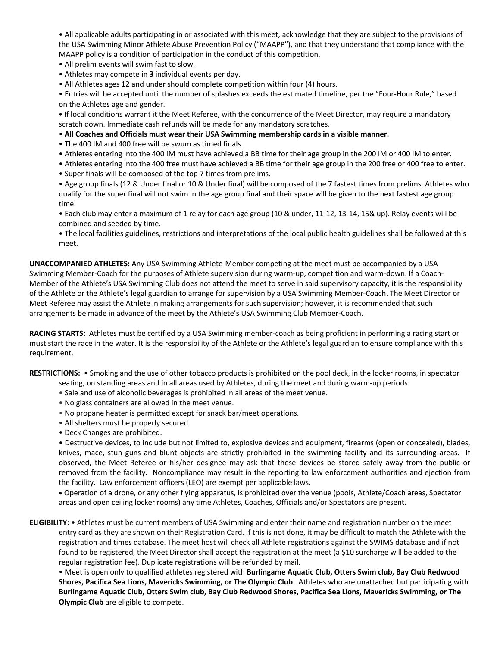• All applicable adults participating in or associated with this meet, acknowledge that they are subject to the provisions of the USA Swimming Minor Athlete Abuse Prevention Policy ("MAAPP"), and that they understand that compliance with the MAAPP policy is a condition of participation in the conduct of this competition.

• All prelim events will swim fast to slow.

• Athletes may compete in **3** individual events per day.

• All Athletes ages 12 and under should complete competition within four (4) hours.

• Entries will be accepted until the number of splashes exceeds the estimated timeline, per the "Four-Hour Rule," based on the Athletes age and gender.

**•** If local conditions warrant it the Meet Referee, with the concurrence of the Meet Director, may require a mandatory scratch down. Immediate cash refunds will be made for any mandatory scratches.

- **All Coaches and Officials must wear their USA Swimming membership cards in a visible manner.**
- The 400 IM and 400 free will be swum as timed finals.
- Athletes entering into the 400 IM must have achieved a BB time for their age group in the 200 IM or 400 IM to enter.
- Athletes entering into the 400 free must have achieved a BB time for their age group in the 200 free or 400 free to enter.
- Super finals will be composed of the top 7 times from prelims.

• Age group finals (12 & Under final or 10 & Under final) will be composed of the 7 fastest times from prelims. Athletes who qualify for the super final will not swim in the age group final and their space will be given to the next fastest age group time.

• Each club may enter a maximum of 1 relay for each age group (10 & under, 11-12, 13-14, 15& up). Relay events will be combined and seeded by time.

• The local facilities guidelines, restrictions and interpretations of the local public health guidelines shall be followed at this meet.

**UNACCOMPANIED ATHLETES:** Any USA Swimming Athlete-Member competing at the meet must be accompanied by a USA Swimming Member-Coach for the purposes of Athlete supervision during warm-up, competition and warm-down. If a Coach-Member of the Athlete's USA Swimming Club does not attend the meet to serve in said supervisory capacity, it is the responsibility of the Athlete or the Athlete's legal guardian to arrange for supervision by a USA Swimming Member-Coach. The Meet Director or Meet Referee may assist the Athlete in making arrangements for such supervision; however, it is recommended that such arrangements be made in advance of the meet by the Athlete's USA Swimming Club Member-Coach.

**RACING STARTS:** Athletes must be certified by a USA Swimming member-coach as being proficient in performing a racing start or must start the race in the water. It is the responsibility of the Athlete or the Athlete's legal guardian to ensure compliance with this requirement.

**RESTRICTIONS:** • Smoking and the use of other tobacco products is prohibited on the pool deck, in the locker rooms, in spectator seating, on standing areas and in all areas used by Athletes, during the meet and during warm-up periods.

- Sale and use of alcoholic beverages is prohibited in all areas of the meet venue.
- No glass containers are allowed in the meet venue.
- No propane heater is permitted except for snack bar/meet operations.
- All shelters must be properly secured.
- Deck Changes are prohibited.

• Destructive devices, to include but not limited to, explosive devices and equipment, firearms (open or concealed), blades, knives, mace, stun guns and blunt objects are strictly prohibited in the swimming facility and its surrounding areas. If observed, the Meet Referee or his/her designee may ask that these devices be stored safely away from the public or removed from the facility. Noncompliance may result in the reporting to law enforcement authorities and ejection from the facility. Law enforcement officers (LEO) are exempt per applicable laws.

• Operation of a drone, or any other flying apparatus, is prohibited over the venue (pools, Athlete/Coach areas, Spectator areas and open ceiling locker rooms) any time Athletes, Coaches, Officials and/or Spectators are present.

**ELIGIBILITY:** • Athletes must be current members of USA Swimming and enter their name and registration number on the meet entry card as they are shown on their Registration Card. If this is not done, it may be difficult to match the Athlete with the registration and times database. The meet host will check all Athlete registrations against the SWIMS database and if not found to be registered, the Meet Director shall accept the registration at the meet (a \$10 surcharge will be added to the regular registration fee). Duplicate registrations will be refunded by mail.

• Meet is open only to qualified athletes registered with **Burlingame Aquatic Club, Otters Swim club, Bay Club Redwood Shores, Pacifica Sea Lions, Mavericks Swimming, or The Olympic Club**. Athletes who are unattached but participating with **Burlingame Aquatic Club, Otters Swim club, Bay Club Redwood Shores, Pacifica Sea Lions, Mavericks Swimming, or The Olympic Club** are eligible to compete.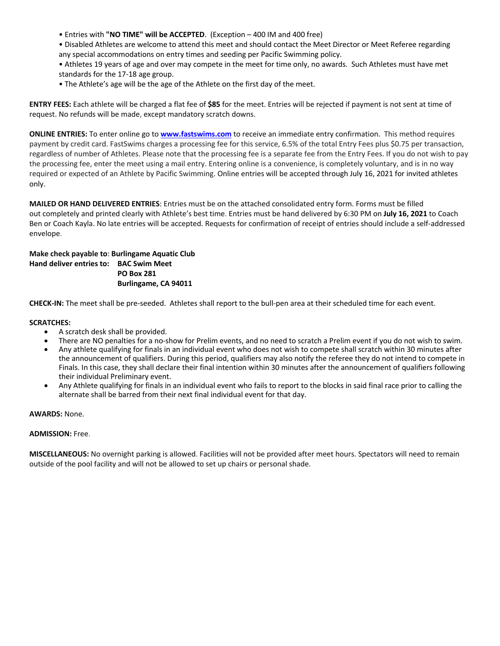- Entries with **"NO TIME" will be ACCEPTED**. (Exception 400 IM and 400 free)
- Disabled Athletes are welcome to attend this meet and should contact the Meet Director or Meet Referee regarding any special accommodations on entry times and seeding per Pacific Swimming policy.
- Athletes 19 years of age and over may compete in the meet for time only, no awards. Such Athletes must have met standards for the 17-18 age group.
- The Athlete's age will be the age of the Athlete on the first day of the meet.

**ENTRY FEES:** Each athlete will be charged a flat fee of **\$85** for the meet. Entries will be rejected if payment is not sent at time of request. No refunds will be made, except mandatory scratch downs.

**ONLINE ENTRIES:** To enter online go to **www.fastswims.com** to receive an immediate entry confirmation. This method requires payment by credit card. FastSwims charges a processing fee for this service, 6.5% of the total Entry Fees plus \$0.75 per transaction, regardless of number of Athletes. Please note that the processing fee is a separate fee from the Entry Fees. If you do not wish to pay the processing fee, enter the meet using a mail entry. Entering online is a convenience, is completely voluntary, and is in no way required or expected of an Athlete by Pacific Swimming. Online entries will be accepted through July 16, 2021 for invited athletes only.

**MAILED OR HAND DELIVERED ENTRIES**: Entries must be on the attached consolidated entry form. Forms must be filled out completely and printed clearly with Athlete's best time. Entries must be hand delivered by 6:30 PM on **July 16, 2021** to Coach Ben or Coach Kayla. No late entries will be accepted. Requests for confirmation of receipt of entries should include a self-addressed envelope.

## **Make check payable to**: **Burlingame Aquatic Club Hand deliver entries to: BAC Swim Meet PO Box 281 Burlingame, CA 94011**

**CHECK-IN:** The meet shall be pre-seeded. Athletes shall report to the bull-pen area at their scheduled time for each event.

#### **SCRATCHES:**

- A scratch desk shall be provided.
- There are NO penalties for a no-show for Prelim events, and no need to scratch a Prelim event if you do not wish to swim.
- Any athlete qualifying for finals in an individual event who does not wish to compete shall scratch within 30 minutes after the announcement of qualifiers. During this period, qualifiers may also notify the referee they do not intend to compete in Finals. In this case, they shall declare their final intention within 30 minutes after the announcement of qualifiers following their individual Preliminary event.
- Any Athlete qualifying for finals in an individual event who fails to report to the blocks in said final race prior to calling the alternate shall be barred from their next final individual event for that day.

**AWARDS:** None.

#### **ADMISSION:** Free.

**MISCELLANEOUS:** No overnight parking is allowed. Facilities will not be provided after meet hours. Spectators will need to remain outside of the pool facility and will not be allowed to set up chairs or personal shade.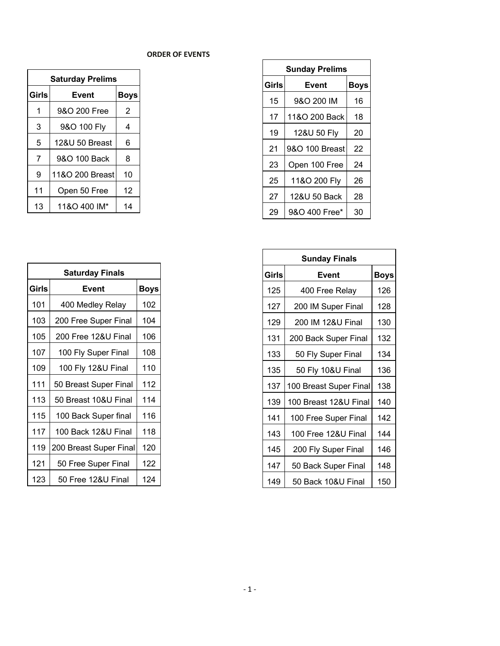# **ORDER OF EVENTS**

| <b>Saturday Prelims</b> |                 |             |  |  |  |  |  |
|-------------------------|-----------------|-------------|--|--|--|--|--|
| Girls                   | Event           | <b>Boys</b> |  |  |  |  |  |
| 1                       | 9&O 200 Free    | 2           |  |  |  |  |  |
| 3                       | 9&O 100 Fly     | 4           |  |  |  |  |  |
| 5                       | 12&U 50 Breast  | 6           |  |  |  |  |  |
| 7                       | 9&O 100 Back    | 8           |  |  |  |  |  |
| 9                       | 11&O 200 Breast | 10          |  |  |  |  |  |
| 11                      | Open 50 Free    | 12          |  |  |  |  |  |
| 13                      | 11&O 400 IM*    | 14          |  |  |  |  |  |

| <b>Sunday Prelims</b> |                |             |  |  |  |  |  |  |  |
|-----------------------|----------------|-------------|--|--|--|--|--|--|--|
| Girls                 | Event          | <b>Boys</b> |  |  |  |  |  |  |  |
| 15                    | 9&O 200 IM     | 16          |  |  |  |  |  |  |  |
| 17                    | 11&O 200 Back  | 18          |  |  |  |  |  |  |  |
| 19                    | 12&U 50 Fly    | 20          |  |  |  |  |  |  |  |
| 21                    | 9&O 100 Breast | 22          |  |  |  |  |  |  |  |
| 23                    | Open 100 Free  | 24          |  |  |  |  |  |  |  |
| 25                    | 11&O 200 Fly   | 26          |  |  |  |  |  |  |  |
| 27                    | 12&U 50 Back   | 28          |  |  |  |  |  |  |  |
| 29                    | 9&O 400 Free*  | 30          |  |  |  |  |  |  |  |

| <b>Saturday Finals</b> |                        |             |  |  |  |  |  |  |
|------------------------|------------------------|-------------|--|--|--|--|--|--|
| <b>Girls</b>           | Event                  | <b>Boys</b> |  |  |  |  |  |  |
| 101                    | 400 Medley Relay       | 102         |  |  |  |  |  |  |
| 103                    | 200 Free Super Final   | 104         |  |  |  |  |  |  |
| 105                    | 200 Free 12&U Final    | 106         |  |  |  |  |  |  |
| 107                    | 100 Fly Super Final    | 108         |  |  |  |  |  |  |
| 109                    | 100 Fly 12&U Final     | 110         |  |  |  |  |  |  |
| 111                    | 50 Breast Super Final  | 112         |  |  |  |  |  |  |
| 113                    | 50 Breast 10&U Final   | 114         |  |  |  |  |  |  |
| 115                    | 100 Back Super final   | 116         |  |  |  |  |  |  |
| 117                    | 100 Back 12&U Final    | 118         |  |  |  |  |  |  |
| 119                    | 200 Breast Super Final | 120         |  |  |  |  |  |  |
| 121                    | 50 Free Super Final    | 122         |  |  |  |  |  |  |
| 123                    | 50 Free 12&U Final     | 124         |  |  |  |  |  |  |

| <b>Sunday Finals</b> |                        |             |  |  |  |  |  |  |
|----------------------|------------------------|-------------|--|--|--|--|--|--|
| Girls                | Event                  | <b>Boys</b> |  |  |  |  |  |  |
| 125                  | 400 Free Relay         | 126         |  |  |  |  |  |  |
| 127                  | 200 IM Super Final     | 128         |  |  |  |  |  |  |
| 129                  | 200 IM 12&U Final      | 130         |  |  |  |  |  |  |
| 131                  | 200 Back Super Final   | 132         |  |  |  |  |  |  |
| 133                  | 50 Fly Super Final     | 134         |  |  |  |  |  |  |
| 135                  | 50 Fly 10&U Final      | 136         |  |  |  |  |  |  |
| 137                  | 100 Breast Super Final | 138         |  |  |  |  |  |  |
| 139                  | 100 Breast 12&U Final  | 140         |  |  |  |  |  |  |
| 141                  | 100 Free Super Final   | 142         |  |  |  |  |  |  |
| 143                  | 100 Free 12&U Final    | 144         |  |  |  |  |  |  |
| 145                  | 200 Fly Super Final    | 146         |  |  |  |  |  |  |
| 147                  | 50 Back Super Final    | 148         |  |  |  |  |  |  |
| 149                  | 50 Back 10&U Final     | 150         |  |  |  |  |  |  |